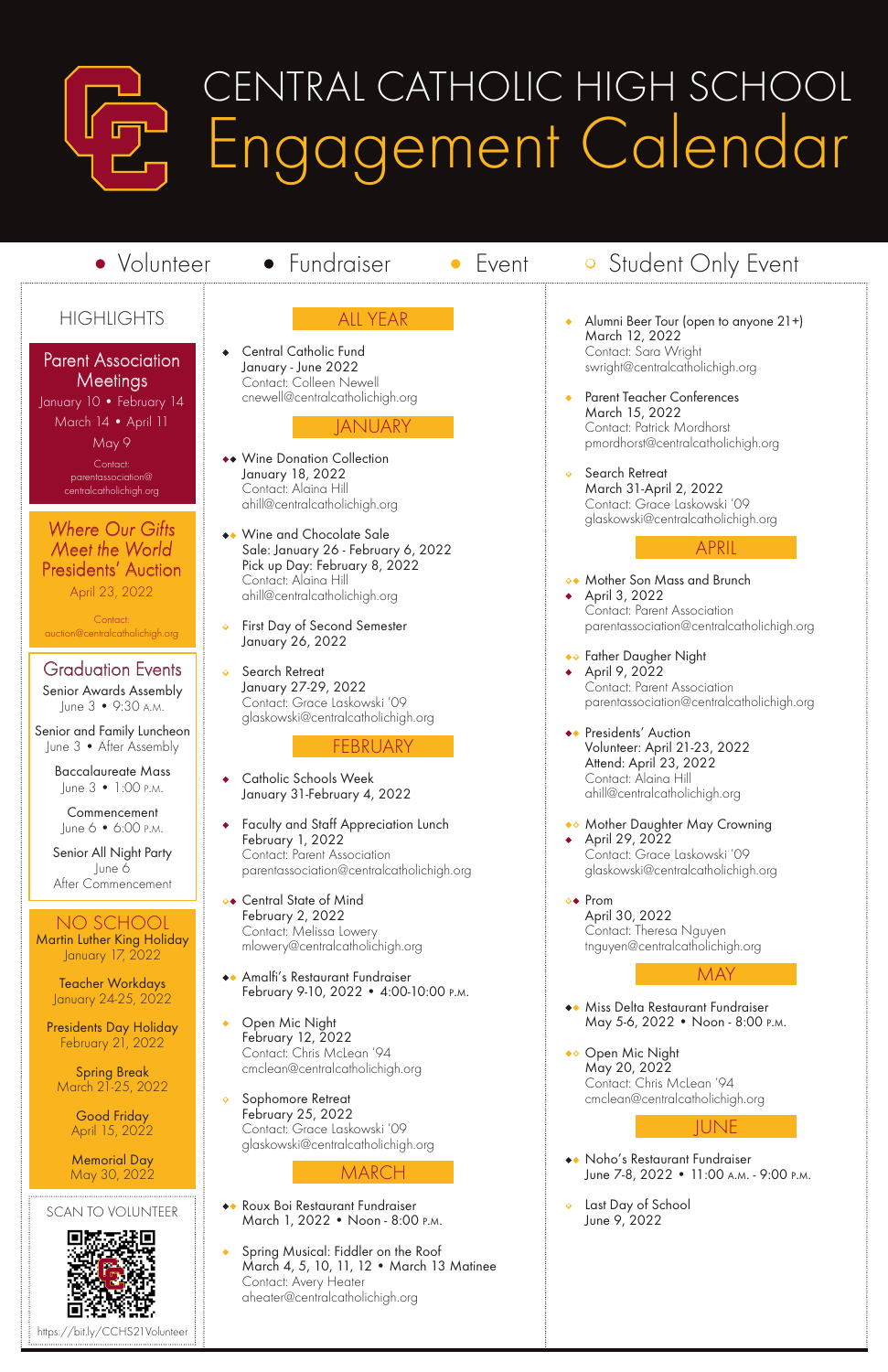ALL YEAR

**Central Catholic Fund** January - June 2022 Contact: Colleen Newell cnewell@centralcatholichigh.org

#### **JANUARY**

- •• Wine Donation Collection January 18, 2022 Contact: Alaina Hill ahill@centralcatholichigh.org
- •• Wine and Chocolate Sale Sale: January 26 - February 6, 2022 Pick up Day: February 8, 2022 Contact: Alaina Hill ahill@centralcatholichigh.org
- First Day of Second Semester January 26, 2022
- Search Retreat January 27-29, 2022 Contact: Grace Laskowski '09 glaskowski@centralcatholichigh.org

#### FEBRUARY

- Catholic Schools Week January 31-February 4, 2022
- Faculty and Staff Appreciation Lunch February 1, 2022 Contact: Parent Association parentassociation@centralcatholichigh.org
- •• Central State of Mind February 2, 2022 Contact: Melissa Lowery mlowery@centralcatholichigh.org
- •• Amalfi's Restaurant Fundraiser February 9-10, 2022 • 4:00-10:00 p.m.

• Open Mic Night February 12, 2022 Contact: Chris McLean '94 cmclean@centralcatholichigh.org

• Sophomore Retreat February 25, 2022 Contact: Grace Laskowski '09 glaskowski@centralcatholichigh.org

#### **MARCH**

- •• Roux Boi Restaurant Fundraiser March 1, 2022 • Noon - 8:00 p.m.
- Spring Musical: Fiddler on the Roof March 4, 5, 10, 11, 12 • March 13 Matinee Contact: Avery Heater aheater@centralcatholichigh.org

#### Where Our Gifts Meet the World Presidents' Auction April 23, 2022

- Alumni Beer Tour (open to anyone 21+) March 12, 2022 Contact: Sara Wright swright@centralcatholichigh.org
- Parent Teacher Conferences March 15, 2022 Contact: Patrick Mordhorst pmordhorst@centralcatholichigh.org
- Search Retreat March 31-April 2, 2022 Contact: Grace Laskowski '09 glaskowski@centralcatholichigh.org

#### APRIL

- •• Mother Son Mass and Brunch • April 3, 2022 Contact: Parent Association parentassociation@centralcatholichigh.org
- •• Father Daugher Night • April 9, 2022 Contact: Parent Association parentassociation@centralcatholichigh.org
- **••** Presidents' Auction Volunteer: April 21-23, 2022 Attend: April 23, 2022 Contact: Alaina Hill ahill@centralcatholichigh.org
- •• Mother Daughter May Crowning • April 29, 2022 Contact: Grace Laskowski '09 glaskowski@centralcatholichigh.org
- •• Prom April 30, 2022 Contact: Theresa Nguyen tnguyen@centralcatholichigh.org

#### MAY

Miss Delta Restaurant Fundraiser

May 5-6, 2022 • Noon - 8:00 p.m.

•• Open Mic Night May 20, 2022 Contact: Chris McLean '94 cmclean@centralcatholichigh.org

#### JUNE

- •• Noho's Restaurant Fundraiser June 7-8, 2022 • 11:00 A.M. - 9:00 P.M.
- Last Day of School June 9, 2022



## CENTRAL CATHOLIC HIGH SCHOOL Engagement Calendar

• Volunteer • Fundraiser • Event • Student Only Event

#### **HIGHLIGHTS**

**Parent Association Meetings** 

January 10 • February 14 March 14 • April 11 May 9 Contact:

parentassociation@ centralcatholichigh.org

Contact: auction@centralcatholichigh.org

#### NO SCHOOL

Martin Luther King Holiday January 17, 2022

> Teacher Workdays January 24-25, 2022

Presidents Day Holiday February 21, 2022

Spring Break March 21-25, 2022

> Good Friday April 15, 2022

Memorial Day May 30, 2022

### Graduation Events

Senior Awards Assembly June 3 • 9:30 a.m.

Senior and Family Luncheon June 3 • After Assembly

> Baccalaureate Mass June 3 • 1:00 p.m.

Commencement June 6 • 6:00 p.m.

Senior All Night Party June 6 After Commencement

SCAN TO VOLUNTEER



https://bit.ly/CCHS21Volunteer